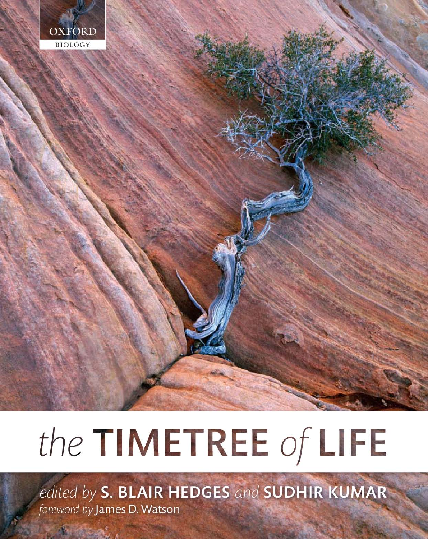

# the TIMETREE of LIFE

edited by S. BLAIR HEDGES and SUDHIR KUMAR foreword by James D. Watson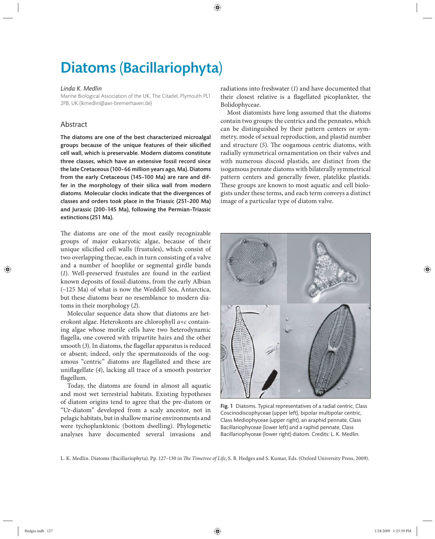## Diatoms (Bacillariophyta)

#### *Linda K. Medlin*

Marine Biological Association of the UK, The Citadel, Plymouth PL1 2PB, UK (lkmedlin@awi-bremerhaven.de)

### Abstract

The diatoms are one of the best characterized microalgal groups because of the unique features of their silicified cell wall, which is preservable. Modern diatoms constitute three classes, which have an extensive fossil record since the late Cretaceous (100–66 million years ago, Ma). Diatoms from the early Cretaceous (145-100 Ma) are rare and differ in the morphology of their silica wall from modern diatoms. Molecular clocks indicate that the divergences of classes and orders took place in the Triassic (251-200 Ma) and Jurassic (200-145 Ma), following the Permian-Triassic extinctions (251 Ma).

The diatoms are one of the most easily recognizable groups of major eukaryotic algae, because of their unique silicified cell walls (frustules), which consist of two overlapping thecae, each in turn consisting of a valve and a number of hooplike or segmental girdle bands (*1*). Well-preserved frustules are found in the earliest known deposits of fossil diatoms, from the early Albian (~125 Ma) of what is now the Weddell Sea, Antarctica, but these diatoms bear no resemblance to modern diatoms in their morphology (*2*).

Molecular sequence data show that diatoms are heterokont algae. Heterokonts are chlorophyll *a+c* containing algae whose motile cells have two heterodynamic flagella, one covered with tripartite hairs and the other smooth (3). In diatoms, the flagellar apparatus is reduced or absent; indeed, only the spermatozoids of the oogamous "centric" diatoms are flagellated and these are uniflagellate (4), lacking all trace of a smooth posterior flagellum.

Today, the diatoms are found in almost all aquatic and most wet terrestrial habitats. Existing hypotheses of diatom origins tend to agree that the pre-diatom or "Ur-diatom" developed from a scaly ancestor, not in pelagic habitats, but in shallow marine environments and were tychoplanktonic (bottom dwelling). Phylogenetic analyses have documented several invasions and  radiations into freshwater (*1*) and have documented that their closest relative is a flagellated picoplankter, the Bolidophyceae.

Most diatomists have long assumed that the diatoms contain two groups: the centrics and the pennates, which can be distinguished by their pattern centers or symmetry, mode of sexual reproduction, and plastid number and structure (5). The oogamous centric diatoms, with radially symmetrical ornamentation on their valves and with numerous discoid plastids, are distinct from the isogamous pennate diatoms with bilaterally symmetrical pattern centers and generally fewer, platelike plastids. These groups are known to most aquatic and cell biologists under these terms, and each term conveys a distinct image of a particular type of diatom valve.



Fig. 1 Diatoms. Typical representatives of a radial centric, Class Coscinodiscophyceae (upper left), bipolar multipolar centric, Class Mediophyceae (upper right), an araphid pennate, Class Bacillariophyceae (lower left) and a raphid pennate, Class Bacillariophyceae (lower right) diatom. Credits: L. K. Medlin.

L. K. Medlin. Diatoms (Bacillariophyta). Pp. 127-130 in The Timetree of Life, S. B. Hedges and S. Kumar, Eds. (Oxford University Press, 2009).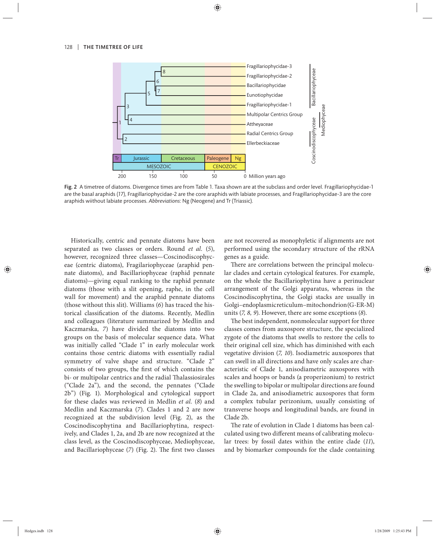

Fig. 2 A timetree of diatoms. Divergence times are from Table 1. Taxa shown are at the subclass and order level. Fragillariophycidae-1 are the basal araphids (*17*), Fragillariophycidae-2 are the core araphids with labiate processes, and Fragillariophycidae-3 are the core araphids wiithout labiate processes. *Abbreviations*: Ng (Neogene) and Tr (Triassic).

Historically, centric and pennate diatoms have been separated as two classes or orders. Round *et al.* (*5*), however, recognized three classes—Coscinodiscophyceae (centric diatoms), Fragilariophyceae (araphid pennate diatoms), and Bacillariophyceae (raphid pennate diatoms)—giving equal ranking to the raphid pennate diatoms (those with a slit opening, raphe, in the cell wall for movement) and the araphid pennate diatoms (those without this slit). Williams (*6*) has traced the historical classification of the diatoms. Recently, Medlin and colleagues (literature summarized by Medlin and Kaczmarska, *7*) have divided the diatoms into two groups on the basis of molecular sequence data. What was initially called "Clade 1" in early molecular work contains those centric diatoms with essentially radial symmetry of valve shape and structure. "Clade 2" consists of two groups, the first of which contains the bi- or multipolar centrics and the radial Thalassiosirales ("Clade 2a"), and the second, the pennates ("Clade 2b") (Fig. 1). Morphological and cytological support for these clades was reviewed in Medlin *et al.* (*8*) and Medlin and Kaczmarska (*7*). Clades 1 and 2 are now recognized at the subdivision level (Fig. 2), as the Coscinodiscophytina and Bacillariophytina, respectively, and Clades 1, 2a, and 2b are now recognized at the class level, as the Coscinodiscophyceae, Mediophyceae, and Bacillariophyceae (7) (Fig. 2). The first two classes are not recovered as monophyletic if alignments are not performed using the secondary structure of the rRNA genes as a guide.

There are correlations between the principal molecular clades and certain cytological features. For example, on the whole the Bacillariophytina have a perinuclear arrangement of the Golgi apparatus, whereas in the Coscinodiscophytina, the Golgi stacks are usually in Golgi–endoplasmic reticulum–mitochondrion (G-ER-M) units (*7, 8, 9*). However, there are some exceptions (*8*).

The best independent, nonmolecular support for three classes comes from auxospore structure, the specialized zygote of the diatoms that swells to restore the cells to their original cell size, which has diminished with each vegetative division (*7, 10*). Isodiametric auxospores that can swell in all directions and have only scales are characteristic of Clade 1, anisodiametric auxospores with scales and hoops or bands (a properizonium) to restrict the swelling to bipolar or multipolar directions are found in Clade 2a, and anisodiametric auxospores that form a complex tubular perizonium, usually consisting of transverse hoops and longitudinal bands, are found in Clade 2b.

The rate of evolution in Clade 1 diatoms has been calculated using two different means of calibrating molecular trees: by fossil dates within the entire clade (*11*), and by biomarker compounds for the clade containing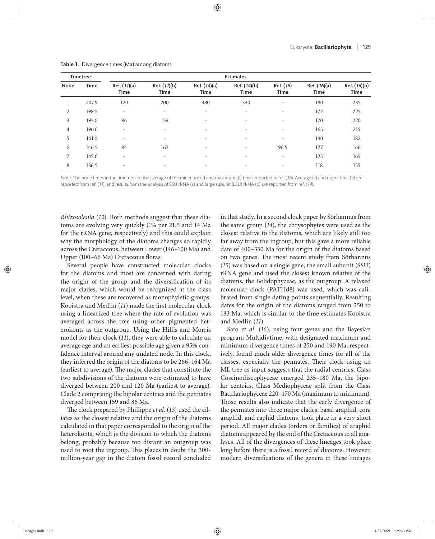| Timetree |       | <b>Estimates</b>         |                          |                      |                             |                   |                      |                      |
|----------|-------|--------------------------|--------------------------|----------------------|-----------------------------|-------------------|----------------------|----------------------|
| Node     | Time  | Ref. (11)(a)<br>Time     | Ref. (11)(b)<br>Time     | Ref. (14)(a)<br>Time | Ref. (14)(b)<br><b>Time</b> | Ref. (15)<br>Time | Ref. (16)(a)<br>Time | Ref. (16)(b)<br>Time |
|          | 207.5 | 120                      | 200                      | 380                  | 330                         | $\qquad \qquad -$ | 180                  | 235                  |
| 2        | 198.5 | $\overline{\phantom{0}}$ | $\overline{\phantom{0}}$ | -                    | $\overline{\phantom{0}}$    | $\qquad \qquad -$ | 172                  | 225                  |
| 3        | 195.0 | 86                       | 159                      | -                    | $\overline{\phantom{a}}$    | $\qquad \qquad -$ | 170                  | 220                  |
| 4        | 190.0 | $\overline{\phantom{0}}$ |                          | -                    | $\qquad \qquad$             | $\qquad \qquad -$ | 165                  | 215                  |
| 5        | 161.0 | $\qquad \qquad$          | -                        | -                    | $\overline{\phantom{a}}$    | $\qquad \qquad -$ | 140                  | 182                  |
| 6        | 146.5 | 84                       | 167                      |                      |                             | 96.5              | 127                  | 166                  |
| 7        | 145.0 |                          |                          | -                    | $\overline{\phantom{0}}$    | $\qquad \qquad -$ | 125                  | 165                  |
| 8        | 136.5 |                          |                          | -                    | $\overline{\phantom{a}}$    | $\qquad \qquad =$ | 118                  | 155                  |

Table 1. Divergence times (Ma) among diatoms.

Note: The node times in the timetree are the average of the minimum (a) and maximum (b) times reported in ref. (16). Average (a) and upper limit (b) are reported from ref. (11), and results from the analysis of SSU rRNA (a) and large subunit (LSU) rRNA (b) are reported from ref. (14).

*Rhizosolenia* (*12*). Both methods suggest that these diatoms are evolving very quickly (1% per 21.5 and 14 Ma for the rRNA gene, respectively) and this could explain why the morphology of the diatoms changes so rapidly across the Cretaceous, between Lower (146–100 Ma) and Upper (100-66 Ma) Cretaceous floras.

Several people have constructed molecular clocks for the diatoms and most are concerned with dating the origin of the group and the diversification of its major clades, which would be recognized at the class level, when these are recovered as monophyletic groups. Kooistra and Medlin (11) made the first molecular clock using a linearized tree where the rate of evolution was averaged across the tree using other pigmented heterokonts as the outgroup. Using the Hillis and Morris model for their clock (*11*), they were able to calculate an average age and an earliest possible age given a 95% confidence interval around any undated node. In this clock, they inferred the origin of the diatoms to be 266–164 Ma (earliest to average). The major clades that constitute the two subdivisions of the diatoms were estimated to have diverged between 200 and 120 Ma (earliest to average). Clade 2 comprising the bipolar centrics and the pennates diverged between 159 and 86 Ma.

The clock prepared by Phillippe *et al.* (13) used the ciliates as the closest relative and the origin of the diatoms calculated in that paper corresponded to the origin of the heterokonts, which is the division to which the diatoms belong, probably because too distant an outgroup was used to root the ingroup. This places in doubt the 300million-year gap in the diatom fossil record concluded in that study. In a second clock paper by Sörhannus from the same group (*14*), the chrysophytes were used as the closest relative to the diatoms, which are likely still too far away from the ingroup, but this gave a more reliable date of 400–330 Ma for the origin of the diatoms based on two genes. The most recent study from Sörhannus (*15*) was based on a single gene, the small subunit (SSU) rRNA gene and used the closest known relative of the diatoms, the Bolidophyceae, as the outgroup. A relaxed molecular clock (PATHd8) was used, which was calibrated from single dating points sequentially. Resulting dates for the origin of the diatoms ranged from 250 to 183 Ma, which is similar to the time estimates Kooistra and Medlin (*11*).

Sato *et al.* (*16*), using four genes and the Bayesian program Multidivtime, with designated maximum and minimum divergence times of 250 and 190 Ma, respectively, found much older divergence times for all of the classes, especially the pennates. Their clock using an ML tree as input suggests that the radial centrics, Class Coscinodiscophyceae emerged 235–180 Ma, the bipolar centrics, Class Mediophyceae split from the Class Bacillariophyceae 220–170 Ma (maximum to minimum). Those results also indicate that the early divergence of the pennates into three major clades, basal araphid, core araphid, and raphid diatoms, took place in a very short period. All major clades (orders or families) of araphid diatoms appeared by the end of the Cretaceous in all analyses. All of the divergences of these lineages took place long before there is a fossil record of diatoms. However, modern diversifications of the genera in these lineages